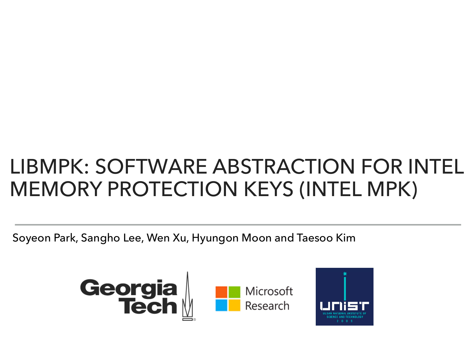#### LIBMPK: SOFTWARE ABSTRACTION FOR INTEL MEMORY PROTECTION KEYS (INTEL MPK)

Soyeon Park, Sangho Lee, Wen Xu, Hyungon Moon and Taesoo Kim





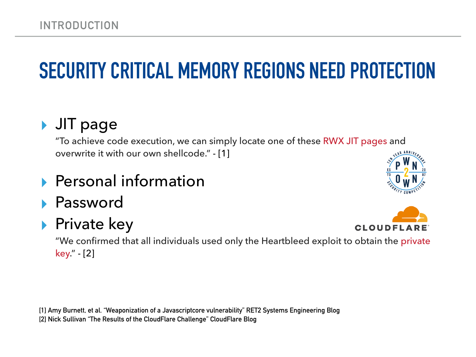## **SECURITY CRITICAL MEMORY REGIONS NEED PROTECTION**

#### ▸ JIT page

"To achieve code execution, we can simply locate one of these RWX JIT pages and overwrite it with our own shellcode." - [1]

- ▸ Personal information
- **Password**

#### ▶ Private key

**CLOUDFLARE** 

"We confirmed that all individuals used only the Heartbleed exploit to obtain the private key." - [2]

**[1] Amy Burnett, et al. "Weaponization of a Javascriptcore vulnerability" RET2 Systems Engineering Blog [2] Nick Sullivan "The Results of the CloudFlare Challenge" CloudFlare Blog**

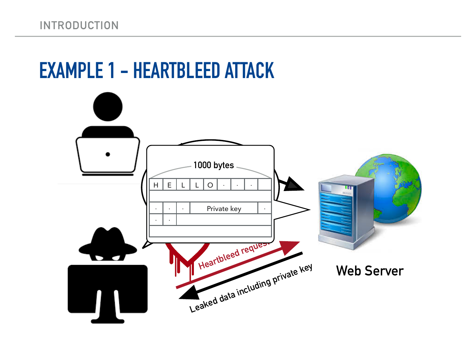#### **EXAMPLE 1 - HEARTBLEED ATTACK**

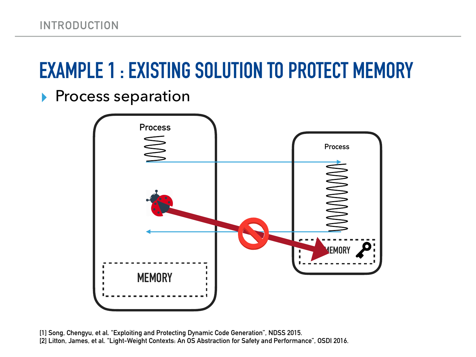## **EXAMPLE 1 : EXISTING SOLUTION TO PROTECT MEMORY**

▶ Process separation



**[1] Song, Chengyu, et al. "Exploiting and Protecting Dynamic Code Generation", NDSS 2015. [2] Litton, James, et al. "Light-Weight Contexts: An OS Abstraction for Safety and Performance", OSDI 2016.**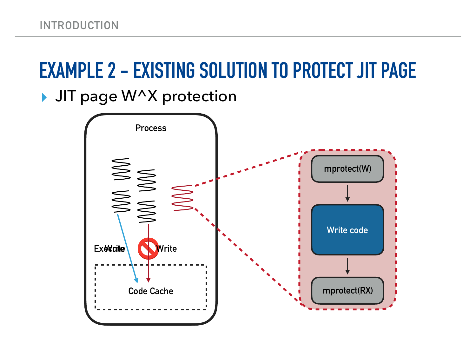### **EXAMPLE 2 - EXISTING SOLUTION TO PROTECT JIT PAGE**

▸ JIT page W^X protection

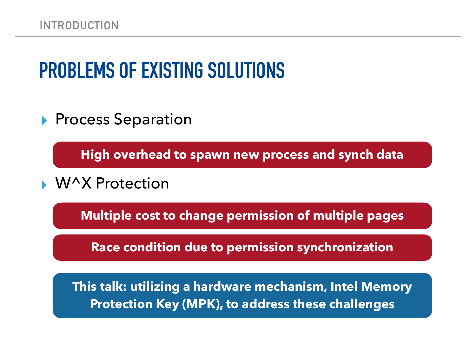## **PROBLEMS OF EXISTING SOLUTIONS**

▶ Process Separation

**High overhead to spawn new process and synch data**

W^X Protection

**Multiple cost to change permission of multiple pages** 

**Race condition due to permission synchronization** 

**This talk: utilizing a hardware mechanism, Intel Memory Protection Key (MPK), to address these challenges**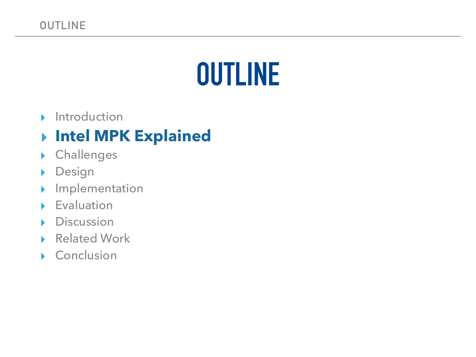## **OUTLINE**

▸ Introduction

#### ▸ **Intel MPK Explained**

- ▸ Challenges
- ▸ Design
- ▸ Implementation
- ▸ Evaluation
- ▸ Discussion
- ▶ Related Work
- ▸ Conclusion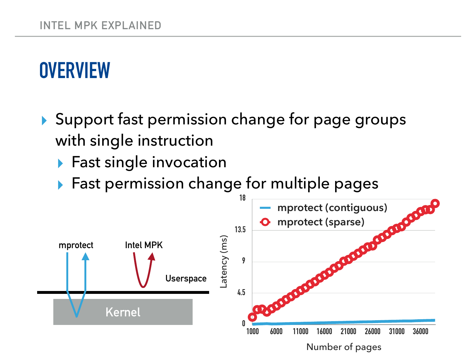## **OVERVIEW**

- ▸ Support fast permission change for page groups with single instruction
	- ▸ Fast single invocation
	- ▸ Fast permission change for multiple pages

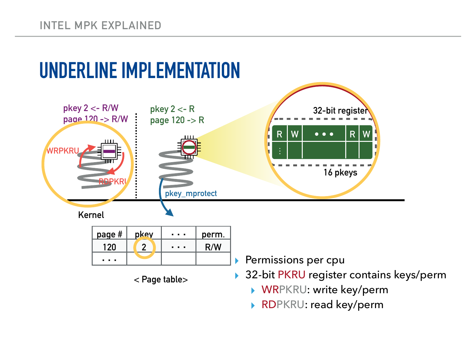

▸ RDPKRU: read key/perm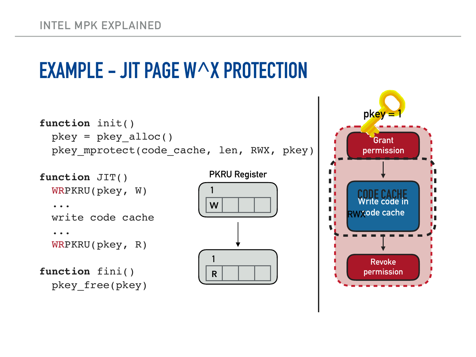### **EXAMPLE - JIT PAGE W^X PROTECTION**

```
function init()
  pkey = pkey_alloc()
  pkey_mprotect(code_cache, len, RWX, pkey)
```

```
function JIT()
  WRPKRU(pkey, W)
 ...
  write code cache
 ...
   WRPKRU(pkey, R)
function fini()
  pkey_free(pkey)
```

```
PKRU Register
```


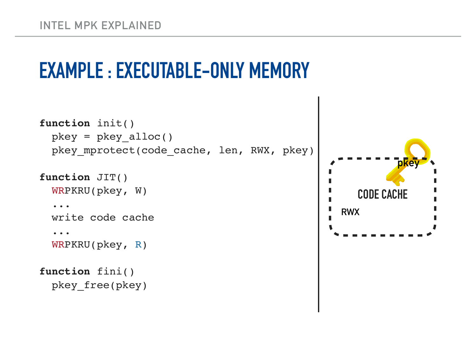## **EXAMPLE : EXECUTABLE-ONLY MEMORY**

```
function init()
  pkey = pkey_alloc()
 pkey mprotect(code_cache, len, RWX, pkey)
```
#### **function** JIT()

```
 WRPKRU(pkey, W)
```
#### ...

write code cache

```
 ...
```
WRPKRU(pkey, R)

```
function fini()
  pkey_free(pkey)
```
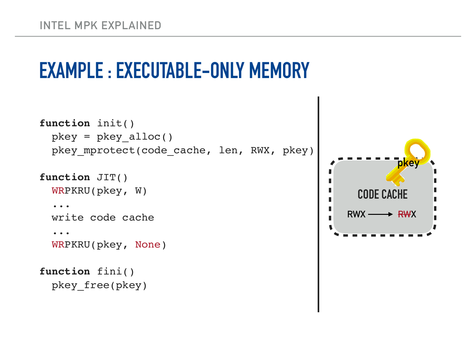## **EXAMPLE : EXECUTABLE-ONLY MEMORY**

```
function init()
  pkey = pkey_alloc()
 pkey mprotect(code_cache, len, RWX, pkey)
```

```
function JIT()
```

```
 WRPKRU(pkey, W)
```

```
 ...
```
write code cache

 ... WRPKRU(pkey, None)

```
function fini()
  pkey_free(pkey)
```
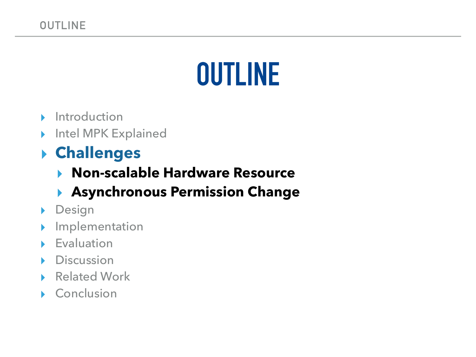## **OUTLINE**

- ▸ Introduction
- ▸ Intel MPK Explained

#### ▸ **Challenges**

▸ **Non-scalable Hardware Resource** 

#### ▸ **Asynchronous Permission Change**

- ▸ Design
- ▸ Implementation
- ▸ Evaluation
- ▸ Discussion
- **Related Work**
- ▸ Conclusion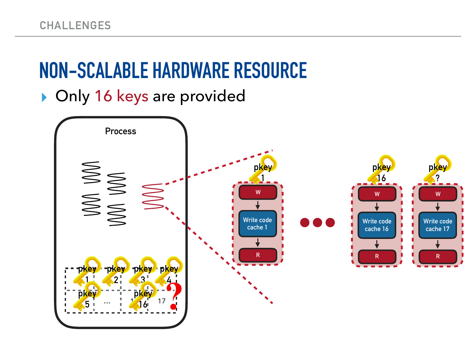## **NON-SCALABLE HARDWARE RESOURCE**

▸ Only 16 keys are provided

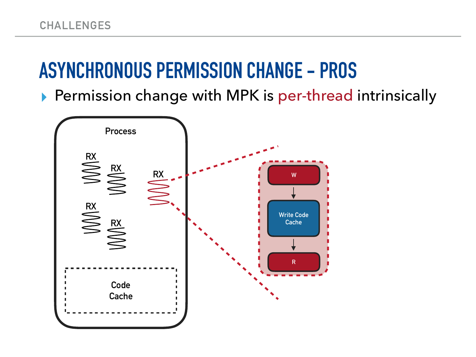#### **ASYNCHRONOUS PERMISSION CHANGE - PROS**

▶ Permission change with MPK is per-thread intrinsically

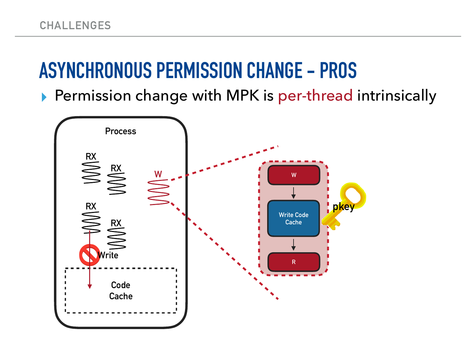#### **ASYNCHRONOUS PERMISSION CHANGE - PROS**

▶ Permission change with MPK is per-thread intrinsically

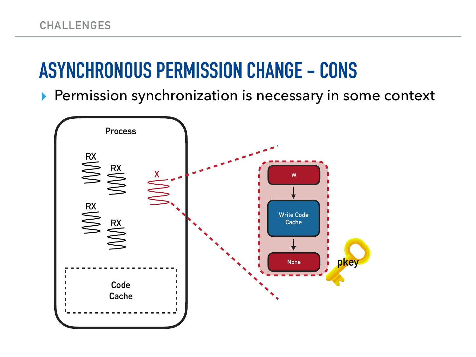#### **ASYNCHRONOUS PERMISSION CHANGE - CONS**

▶ Permission synchronization is necessary in some context

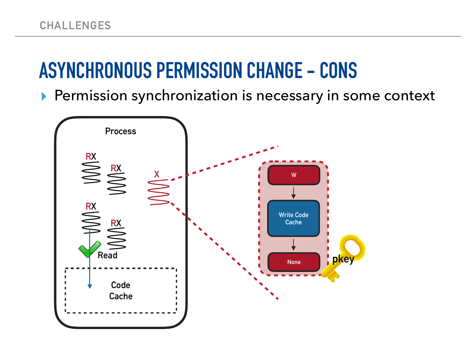#### **ASYNCHRONOUS PERMISSION CHANGE - CONS**

▶ Permission synchronization is necessary in some context

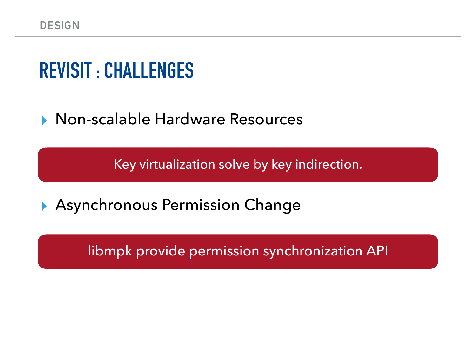#### **REVISIT : CHALLENGES**

▸ Non-scalable Hardware Resources

Key virtualization solve by key indirection.

▶ Asynchronous Permission Change

libmpk provide permission synchronization API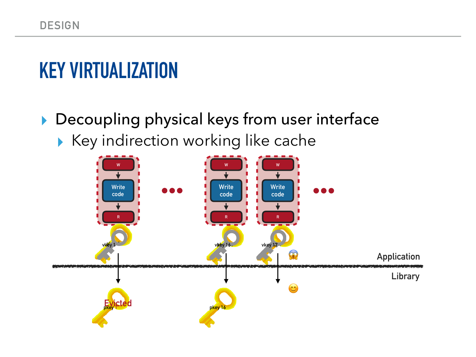## **KEY VIRTUALIZATION**

▶ Decoupling physical keys from user interface ▸ Key indirection working like cache

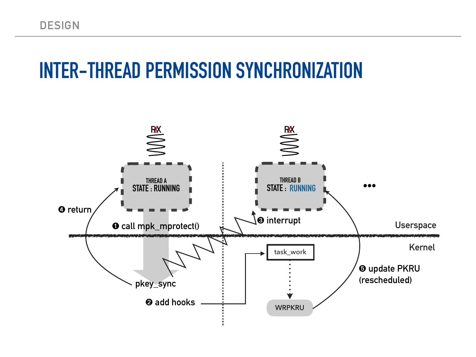#### **INTER-THREAD PERMISSION SYNCHRONIZATION**

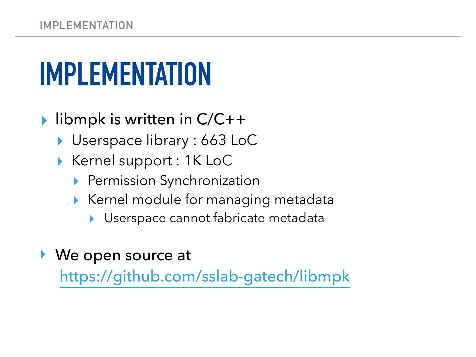# **IMPLEMENTATION**

- ▸ libmpk is written in C/C++
	- ▸ Userspace library : 663 LoC
	- ▸ Kernel support : 1K LoC
		- ▶ Permission Synchronization
		- ▸ Kernel module for managing metadata
			- ▸ Userspace cannot fabricate metadata
- ‣ We open source at

<https://github.com/sslab-gatech/libmpk>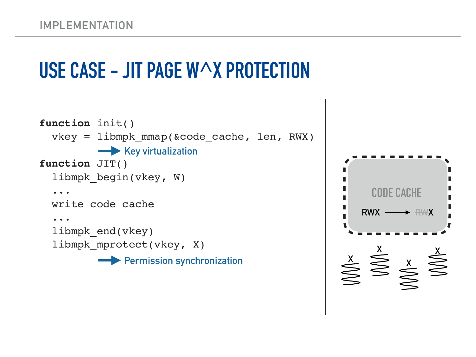### **USE CASE - JIT PAGE W^X PROTECTION**

```
function init()
   vkey = libmpk_mmap(&code_cache, len, RWX)
function JIT()
  libmpk begin(vkey, W)
 ...
  write code cache
 ...
   libmpk_end(vkey)
  libmpk mprotect(vkey, X)
         Key virtualization
          Permission synchronization
```
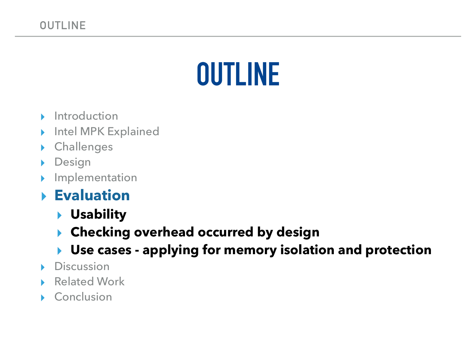## **OUTLINE**

- ▸ Introduction
- Intel MPK Explained
- **Challenges**
- Design
- ▸ Implementation

#### ▸ **Evaluation**

- ▸ **Usability**
- ▸ **Checking overhead occurred by design**
- ▸ **Use cases applying for memory isolation and protection**
- **Discussion**
- **Related Work**
- **Conclusion**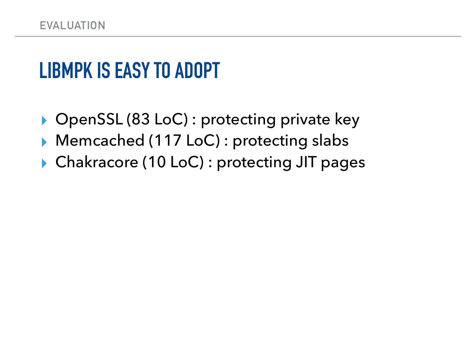#### **LIBMPK IS EASY TO ADOPT**

- ▸ OpenSSL (83 LoC) : protecting private key
- ▸ Memcached (117 LoC) : protecting slabs
- ▸ Chakracore (10 LoC) : protecting JIT pages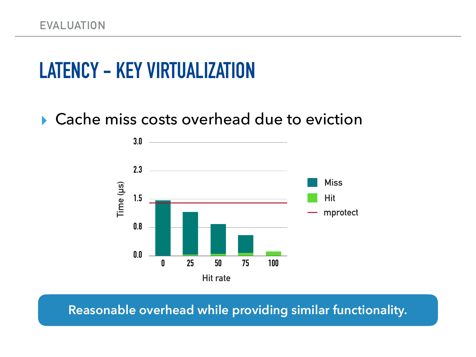## **LATENCY - KEY VIRTUALIZATION**

#### ▸ Cache miss costs overhead due to eviction



**Reasonable overhead while providing similar functionality.**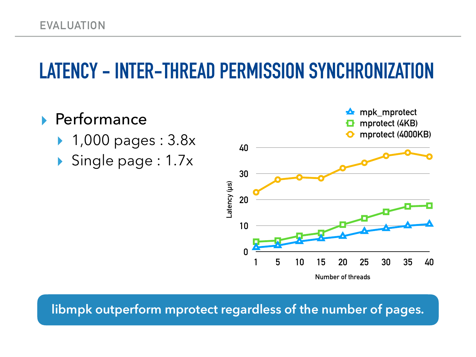#### **LATENCY - INTER-THREAD PERMISSION SYNCHRONIZATION**

#### ▸ Performance

- ▸ 1,000 pages : 3.8x
- ▸ Single page : 1.7x



**libmpk outperform mprotect regardless of the number of pages.**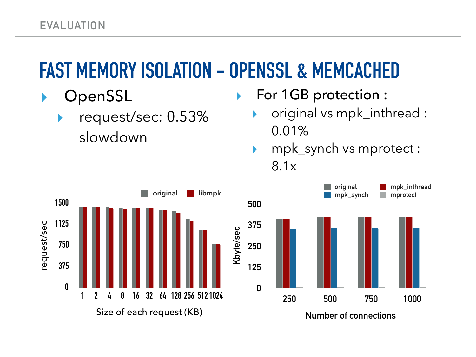## **FAST MEMORY ISOLATION - OPENSSL & MEMCACHED**

- **OpenSSL** 
	- ▸ request/sec: 0.53% slowdown

▶ For 1GB protection :

- original vs mpk\_inthread : 0.01%
- ▸ mpk\_synch vs mprotect : 8.1x

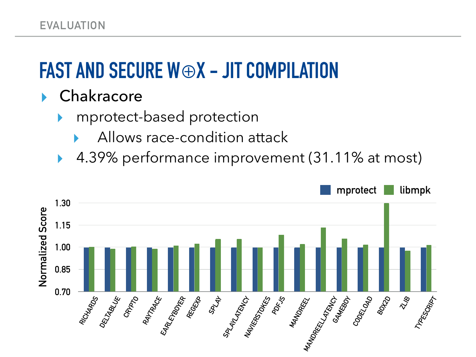## **FAST AND SECURE W**⊕**X - JIT COMPILATION**

#### Chakracore

- mprotect-based protection
	- Allows race-condition attack
- 4.39% performance improvement (31.11% at most)

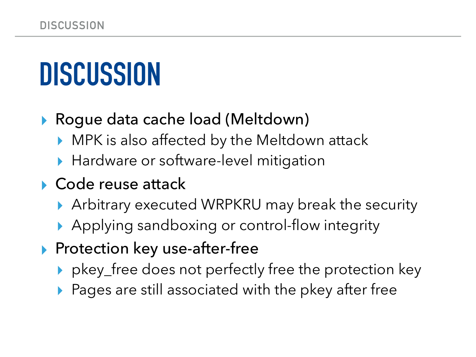# **DISCUSSION**

#### ▶ Roque data cache load (Meltdown)

- ▸ MPK is also affected by the Meltdown attack
- ▶ Hardware or software-level mitigation

#### ▸ Code reuse attack

- ▶ Arbitrary executed WRPKRU may break the security
- ▶ Applying sandboxing or control-flow integrity
- ▶ Protection key use-after-free
	- ▸ pkey\_free does not perfectly free the protection key
	- ▶ Pages are still associated with the pkey after free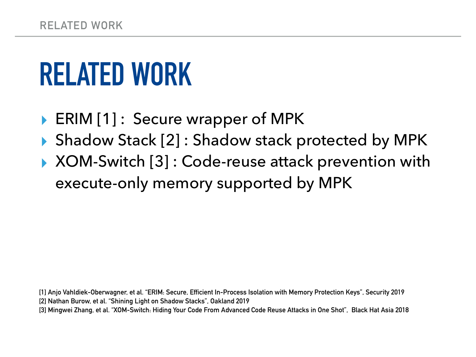# **RELATED WORK**

- ERIM [1]: Secure wrapper of MPK
- ▸ Shadow Stack [2] : Shadow stack protected by MPK
- ▸ XOM-Switch [3] : Code-reuse attack prevention with execute-only memory supported by MPK

**[1] Anjo Vahldiek-Oberwagner, et al. "ERIM: Secure, Efficient In-Process Isolation with Memory Protection Keys", Security 2019 [2] Nathan Burow, et al. "Shining Light on Shadow Stacks", Oakland 2019 [3] Mingwei Zhang, et al. "XOM-Switch: Hiding Your Code From Advanced Code Reuse Attacks in One Shot", Black Hat Asia 2018**